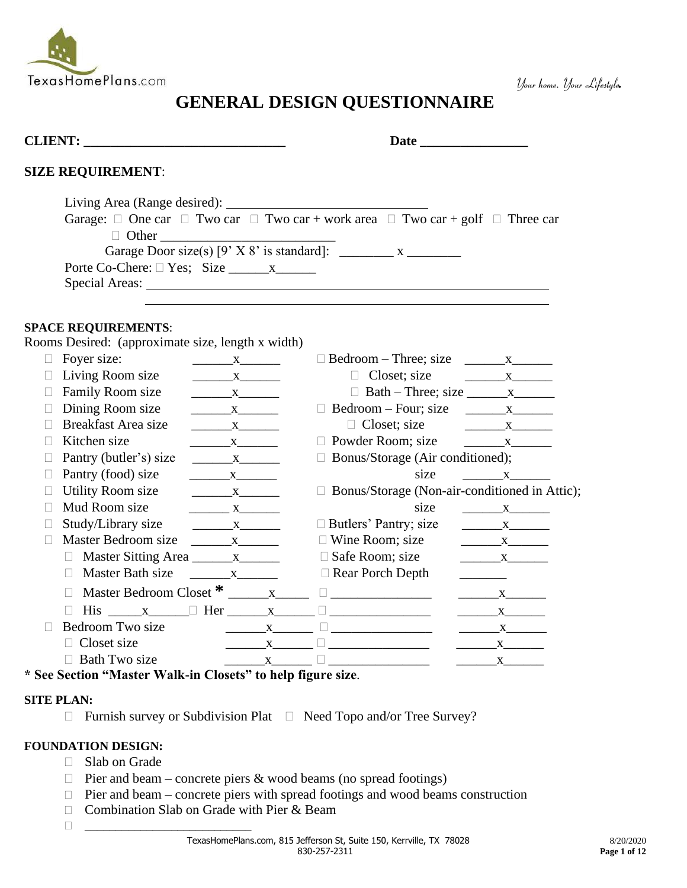

# **GENERAL DESIGN QUESTIONNAIRE**

| <b>CLIENT:</b> THE STRIKE STRIKE STRIKE STRIKE STRIKE STRIKE STRIKE STRIKE STRIKE STRIKE STRIKE STRIKE STRIKE STRIKE STRIKE STRIKE STRIKE STRIKE STRIKE STRIKE STRIKE STRIKE STRIKE STRIKE STRIKE STRIKE STRIKE STRIKE STRIKE STRIK |                                                   |                                                                                      |                                                                                                              |                          |  |  |
|-------------------------------------------------------------------------------------------------------------------------------------------------------------------------------------------------------------------------------------|---------------------------------------------------|--------------------------------------------------------------------------------------|--------------------------------------------------------------------------------------------------------------|--------------------------|--|--|
|                                                                                                                                                                                                                                     | <b>SIZE REQUIREMENT:</b>                          |                                                                                      |                                                                                                              |                          |  |  |
|                                                                                                                                                                                                                                     |                                                   |                                                                                      |                                                                                                              |                          |  |  |
|                                                                                                                                                                                                                                     |                                                   |                                                                                      | Garage: $\Box$ One car $\Box$ Two car $\Box$ Two car + work area $\Box$ Two car + golf $\Box$ Three car      |                          |  |  |
|                                                                                                                                                                                                                                     |                                                   |                                                                                      |                                                                                                              |                          |  |  |
|                                                                                                                                                                                                                                     |                                                   |                                                                                      |                                                                                                              |                          |  |  |
|                                                                                                                                                                                                                                     |                                                   |                                                                                      |                                                                                                              |                          |  |  |
|                                                                                                                                                                                                                                     |                                                   |                                                                                      |                                                                                                              |                          |  |  |
|                                                                                                                                                                                                                                     |                                                   |                                                                                      |                                                                                                              |                          |  |  |
|                                                                                                                                                                                                                                     | <b>SPACE REQUIREMENTS:</b>                        |                                                                                      |                                                                                                              |                          |  |  |
|                                                                                                                                                                                                                                     | Rooms Desired: (approximate size, length x width) |                                                                                      |                                                                                                              |                          |  |  |
| $\Box$                                                                                                                                                                                                                              | Foyer size:                                       | $\begin{array}{c} \begin{array}{c} \text{---} \\ \text{---} \end{array} \end{array}$ |                                                                                                              |                          |  |  |
| $\Box$                                                                                                                                                                                                                              | Living Room size                                  | $\mathbf{X}$                                                                         | $\Box$ Closet; size                                                                                          |                          |  |  |
| П                                                                                                                                                                                                                                   | Family Room size                                  |                                                                                      |                                                                                                              |                          |  |  |
|                                                                                                                                                                                                                                     | Dining Room size                                  | $\mathbf{X}$                                                                         | $\Box$ Bedroom – Four; size $\Box$ x                                                                         |                          |  |  |
|                                                                                                                                                                                                                                     | Breakfast Area size                               | $X$ <sub>1</sub>                                                                     |                                                                                                              |                          |  |  |
| $\mathbf{L}$                                                                                                                                                                                                                        | Kitchen size                                      | $\frac{X}{1}$                                                                        | $\Box$ Powder Room; size                                                                                     | $\overline{\mathbf{X}}$  |  |  |
|                                                                                                                                                                                                                                     | Pantry (butler's) size                            | $X$ <sub>1</sub>                                                                     | $\Box$ Bonus/Storage (Air conditioned);                                                                      |                          |  |  |
|                                                                                                                                                                                                                                     | Pantry (food) size                                | $\mathbf{X}$                                                                         | size                                                                                                         | $\overline{\mathbf{X}}$  |  |  |
|                                                                                                                                                                                                                                     | <b>Utility Room size</b>                          | $\mathbf{X}$                                                                         | □ Bonus/Storage (Non-air-conditioned in Attic);                                                              |                          |  |  |
| П                                                                                                                                                                                                                                   | Mud Room size                                     | $X$ <sub>1</sub>                                                                     | size                                                                                                         |                          |  |  |
| $\mathbf{L}$                                                                                                                                                                                                                        | Study/Library size                                | $X$ <sub>1</sub>                                                                     | $\Box$ Butlers' Pantry; size                                                                                 |                          |  |  |
| П                                                                                                                                                                                                                                   | Master Bedroom size                               | $X$ <sub>1</sub>                                                                     | $\Box$ Wine Room; size                                                                                       | $\frac{X}{1}$            |  |  |
|                                                                                                                                                                                                                                     | □ Master Sitting Area ________ x_______           |                                                                                      | $\square$ Safe Room; size                                                                                    | $\mathbf{X}$             |  |  |
|                                                                                                                                                                                                                                     | $\Box$ Master Bath size                           | $\begin{array}{c} \begin{array}{c} \textbf{X} \end{array} \end{array}$               | $\Box$ Rear Porch Depth                                                                                      | $\overline{\phantom{a}}$ |  |  |
|                                                                                                                                                                                                                                     | П                                                 |                                                                                      |                                                                                                              | $\mathbf X$              |  |  |
|                                                                                                                                                                                                                                     | П                                                 |                                                                                      | $His \_\_x \_\_ \Box$ Her $\_\_ x \_\_ \Box$                                                                 | $\overline{\textbf{X}}$  |  |  |
|                                                                                                                                                                                                                                     | Bedroom Two size                                  |                                                                                      | $\begin{array}{c} \begin{array}{c} \begin{array}{c} \end{array} \end{array}$                                 | $\overline{\textbf{X}}$  |  |  |
|                                                                                                                                                                                                                                     | $\Box$ Closet size                                |                                                                                      | $\begin{array}{c} \begin{array}{c} \begin{array}{c} \end{array} \\ \begin{array}{c} \end{array} \end{array}$ |                          |  |  |
|                                                                                                                                                                                                                                     | $\Box$ Bath Two size                              |                                                                                      |                                                                                                              |                          |  |  |

**\* See Section "Master Walk-in Closets" to help figure size**.

### **SITE PLAN:**

 $\Box$  Furnish survey or Subdivision Plat  $\Box$  Need Topo and/or Tree Survey?

### **FOUNDATION DESIGN:**

- □ Slab on Grade
- $\Box$  Pier and beam concrete piers & wood beams (no spread footings)
- $\Box$  Pier and beam concrete piers with spread footings and wood beams construction
- □ Combination Slab on Grade with Pier & Beam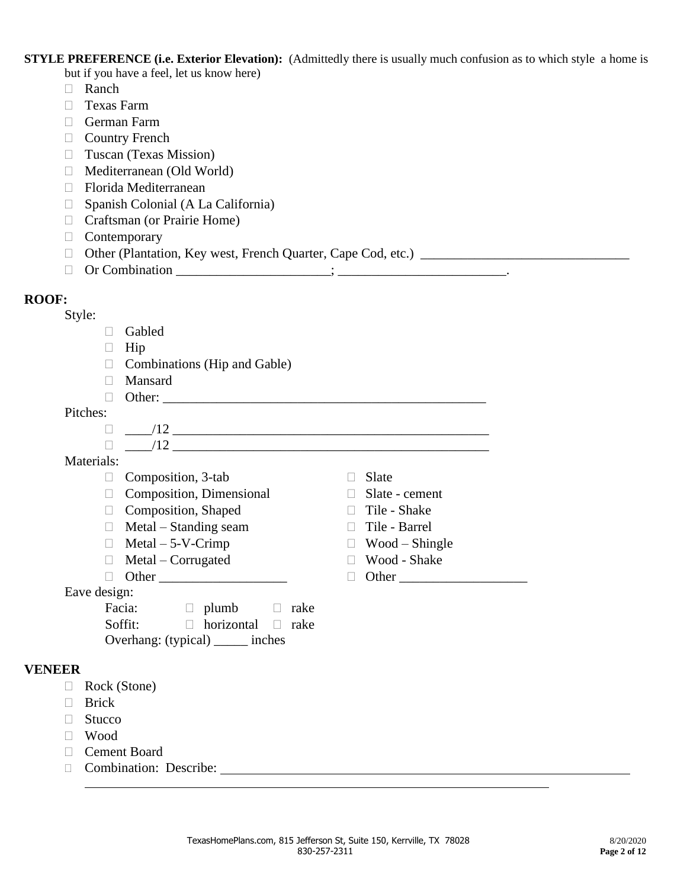**STYLE PREFERENCE (i.e. Exterior Elevation):** (Admittedly there is usually much confusion as to which style a home is but if you have a feel, let us know here)

- □ Ranch
- **Texas Farm**
- German Farm
- $\Box$  Country French
- **Tuscan (Texas Mission)**
- Mediterranean (Old World)
- □ Florida Mediterranean
- $\Box$  Spanish Colonial (A La California)
- □ Craftsman (or Prairie Home)
- Contemporary
- $\Box$  Other (Plantation, Key west, French Quarter, Cape Cod, etc.)  $\Box$
- Or Combination \_\_\_\_\_\_\_\_\_\_\_\_\_\_\_\_\_\_\_\_\_\_\_; \_\_\_\_\_\_\_\_\_\_\_\_\_\_\_\_\_\_\_\_\_\_\_\_\_.

### **ROOF:**

|--|

- Gabled
- $\Box$  Hip
- $\Box$  Combinations (Hip and Gable)
- Mansard
- Other: \_\_\_\_\_\_\_\_\_\_\_\_\_\_\_\_\_\_\_\_\_\_\_\_\_\_\_\_\_\_\_\_\_\_\_\_\_\_\_\_\_\_\_\_\_\_\_\_

### Pitches:

\_\_\_\_/12 \_\_\_\_\_\_\_\_\_\_\_\_\_\_\_\_\_\_\_\_\_\_\_\_\_\_\_\_\_\_\_\_\_\_\_\_\_\_\_\_\_\_\_\_\_\_\_

### Materials:

- $\Box$  Composition, 3-tab  $\Box$  Slate
- $\Box$  Composition, Dimensional  $\Box$  Slate cement
- $\Box$  Composition, Shaped  $\Box$  Tile Shake
- $\Box$  Metal Standing seam  $\Box$  Tile Barrel
- $\Box$  Metal 5-V-Crimp  $\Box$  Wood Shingle
- $\Box$  Metal Corrugated  $\Box$  Wood Shake
- Other \_\_\_\_\_\_\_\_\_\_\_\_\_\_\_\_\_\_\_ Other \_\_\_\_\_\_\_\_\_\_\_\_\_\_\_\_\_\_\_

Eave design:

| Facia:                            | $\Box$ plumb                  | $\Box$ rake |
|-----------------------------------|-------------------------------|-------------|
| Soffit:                           | $\Box$ horizontal $\Box$ rake |             |
| Overhang: (typical) ______ inches |                               |             |

### **VENEER**

- Rock (Stone)
- **Brick**
- $\Box$  Stucco
- Wood
- Cement Board
- Combination: Describe:
	- TexasHomePlans.com, 815 Jefferson St, Suite 150, Kerrville, TX 78028 8/20/2020 8/20/2020 830-257-2311 **Page 2 of 12**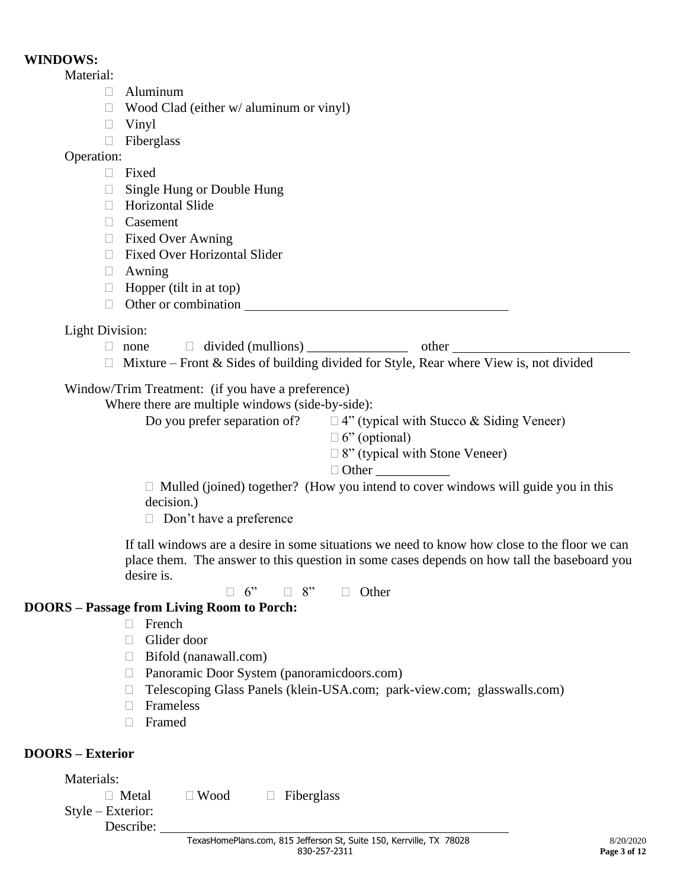### **WINDOWS:**

Material:

- Aluminum
- $\Box$  Wood Clad (either w/ aluminum or vinyl)
- Vinyl
- Fiberglass

# Operation:

- **Fixed**
- □ Single Hung or Double Hung
- □ Horizontal Slide
- Casement
- $\Box$  Fixed Over Awning
- Fixed Over Horizontal Slider
- Awning
- $\Box$  Hopper (tilt in at top)
- $\Box$  Other or combination

# Light Division:

 $\Box$  none  $\Box$  divided (mullions) other

 $\Box$  Mixture – Front & Sides of building divided for Style, Rear where View is, not divided

# Window/Trim Treatment: (if you have a preference)

Where there are multiple windows (side-by-side):

Do you prefer separation of?  $\Box$  4" (typical with Stucco & Siding Veneer)

- $\Box$  6" (optional)
- $\Box$  8" (typical with Stone Veneer)
- $\Box$  Other

 $\Box$  Mulled (joined) together? (How you intend to cover windows will guide you in this decision.)

 $\Box$  Don't have a preference

If tall windows are a desire in some situations we need to know how close to the floor we can place them. The answer to this question in some cases depends on how tall the baseboard you desire is.

 $\Box$  6"  $\Box$  8"  $\Box$  Other

# **DOORS – Passage from Living Room to Porch:**

- $\Box$  French
- Glider door
- $\Box$  Bifold (nanawall.com)
- □ Panoramic Door System (panoramicdoors.com)
- Telescoping Glass Panels (klein-USA.com; park-view.com; glasswalls.com)
- $\Box$  Frameless
- Framed

# **DOORS – Exterior**

Materials:

| $\Box$ Metal | $\Box$ Wood | $\Box$ Fiberglass |
|--------------|-------------|-------------------|
|              |             |                   |

Style – Exterior: Describe: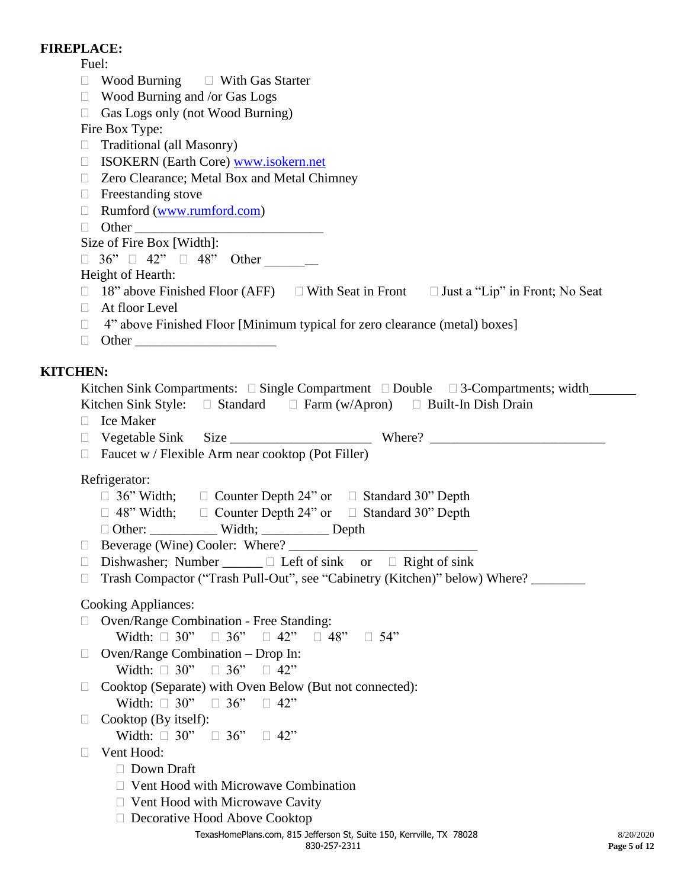### **FIREPLACE:**

Fuel:

- $\Box$  Wood Burning  $\Box$  With Gas Starter
- Wood Burning and /or Gas Logs
- $\Box$  Gas Logs only (not Wood Burning)

Fire Box Type:

- Traditional (all Masonry)
- ISOKERN (Earth Core) [www.isokern.net](http://www.isokern.net/)
- □ Zero Clearance; Metal Box and Metal Chimney
- $\Box$  Freestanding stove
- Rumford [\(www.rumford.com\)](http://www.rumford.com/)
- $\Box$  Other

### Size of Fire Box [Width]:

 $\Box$  36"  $\Box$  42"  $\Box$  48" Other  $\Box$ 

### Height of Hearth:

- $\Box$  18" above Finished Floor (AFF)  $\Box$  With Seat in Front  $\Box$  Just a "Lip" in Front; No Seat
- At floor Level
- $\Box$  4" above Finished Floor [Minimum typical for zero clearance (metal) boxes]
- $\Box$  Other

# **KITCHEN:**

| HEN:                                                                                                     |
|----------------------------------------------------------------------------------------------------------|
| Kitchen Sink Compartments: $\square$ Single Compartment $\square$ Double $\square$ 3-Compartments; width |
| Kitchen Sink Style: $\Box$ Standard $\Box$ Farm (w/Apron) $\Box$ Built-In Dish Drain                     |
| $\Box$ Ice Maker                                                                                         |
|                                                                                                          |
| $\Box$ Faucet w / Flexible Arm near cooktop (Pot Filler)                                                 |
| Refrigerator:                                                                                            |
| $\Box$ 36" Width; $\Box$ Counter Depth 24" or $\Box$ Standard 30" Depth                                  |
| $\Box$ 48" Width; $\Box$ Counter Depth 24" or $\Box$ Standard 30" Depth                                  |
| □ Other: _____________ Width; ___________ Depth                                                          |
|                                                                                                          |
| Dishwasher; Number $\Box$ $\Box$ Left of sink or $\Box$ Right of sink<br>⊔                               |
| Trash Compactor ("Trash Pull-Out", see "Cabinetry (Kitchen)" below) Where?<br>$\Box$                     |
| Cooking Appliances:                                                                                      |
| $\Box$ Oven/Range Combination - Free Standing:                                                           |
| Width: $\Box$ 30" $\Box$ 36" $\Box$ 42" $\Box$ 48" $\Box$ 54"                                            |
| $\Box$ Oven/Range Combination – Drop In:                                                                 |
| Width: $\Box$ 30" $\Box$ 36" $\Box$ 42"                                                                  |
| $\Box$ Cooktop (Separate) with Oven Below (But not connected):                                           |
| Width: $\Box$ 30" $\Box$ 36" $\Box$ 42"                                                                  |

- $\Box$  Cooktop (By itself):
	- Width:  $\Box$  30"  $\Box$  36"  $\Box$  42"
- □ Vent Hood:
	- Down Draft
	- $\Box$  Vent Hood with Microwave Combination
	- $\Box$  Vent Hood with Microwave Cavity
	- □ Decorative Hood Above Cooktop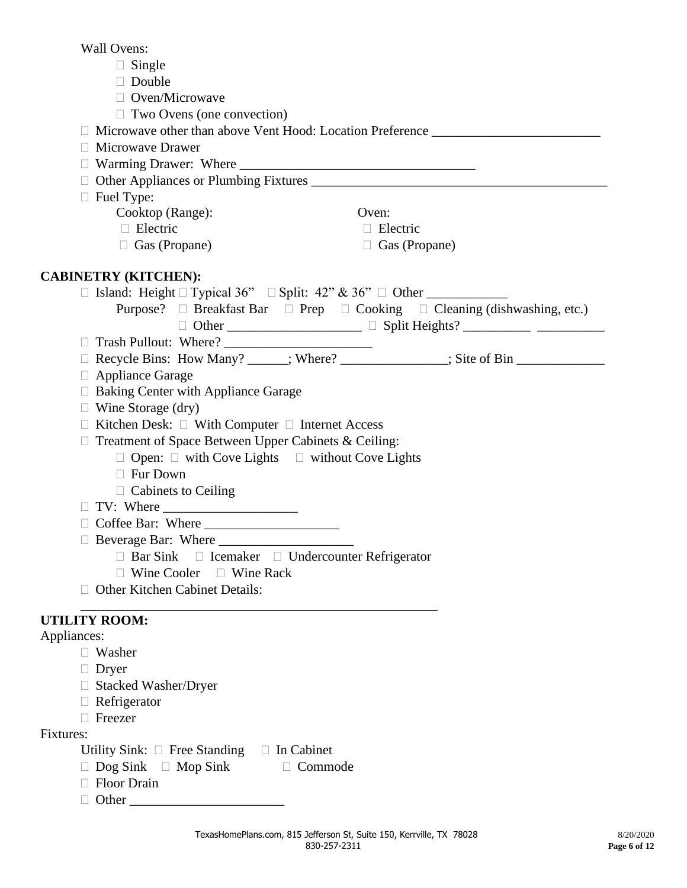Wall Ovens:

- $\Box$  Single
- Double
- □ Oven/Microwave
- $\Box$  Two Ovens (one convection)

 $\Box$  Microwave other than above Vent Hood: Location Preference Microwave Drawer  $\Box$  Warming Drawer: Where  $\Box$  Other Appliances or Plumbing Fixtures \_\_\_\_\_\_\_\_\_\_\_\_\_\_\_\_\_\_\_\_\_\_\_\_\_\_\_\_\_\_\_\_\_\_\_\_\_\_\_\_\_\_\_\_  $\Box$  Fuel Type: Cooktop (Range): Oven: Electric Electric Electric  $\Box$  Gas (Propane)  $\Box$  Gas (Propane) **CABINETRY (KITCHEN):**  $\Box$  Island: Height  $\Box$  Typical 36"  $\Box$  Split: 42" & 36"  $\Box$  Other Purpose?  $\Box$  Breakfast Bar  $\Box$  Prep  $\Box$  Cooking  $\Box$  Cleaning (dishwashing, etc.) Other \_\_\_\_\_\_\_\_\_\_\_\_\_\_\_\_\_\_\_\_ Split Heights? \_\_\_\_\_\_\_\_\_\_ \_\_\_\_\_\_\_\_\_\_ Trash Pullout: Where? \_\_\_\_\_\_\_\_\_\_\_\_\_\_\_\_\_\_\_\_\_\_ Recycle Bins: How Many? \_\_\_\_\_\_; Where? \_\_\_\_\_\_\_\_\_\_\_\_\_\_\_\_; Site of Bin \_\_\_\_\_\_\_\_\_\_\_\_\_ Appliance Garage  $\Box$  Baking Center with Appliance Garage  $\Box$  Wine Storage (dry)  $\Box$  Kitchen Desk:  $\Box$  With Computer  $\Box$  Internet Access  $\Box$  Treatment of Space Between Upper Cabinets & Ceiling:  $\Box$  Open:  $\Box$  with Cove Lights  $\Box$  without Cove Lights Fur Down  $\Box$  Cabinets to Ceiling  $\Box$  TV: Where Coffee Bar: Where \_\_\_\_\_\_\_\_\_\_\_\_\_\_\_\_\_\_\_\_ □ Beverage Bar: Where  $\Box$  Bar Sink  $\Box$  Icemaker  $\Box$  Undercounter Refrigerator  $\Box$  Wine Cooler  $\Box$  Wine Rack □ Other Kitchen Cabinet Details: \_\_\_\_\_\_\_\_\_\_\_\_\_\_\_\_\_\_\_\_\_\_\_\_\_\_\_\_\_\_\_\_\_\_\_\_\_\_\_\_\_\_\_\_\_\_\_\_\_\_\_\_\_ **UTILITY ROOM:** Appliances: Washer Dryer □ Stacked Washer/Dryer Refrigerator □ Freezer Fixtures: Utility Sink:  $\Box$  Free Standing  $\Box$  In Cabinet  $\Box$  Dog Sink  $\Box$  Mop Sink  $\Box$  Commode

- □ Floor Drain
- $\Box$  Other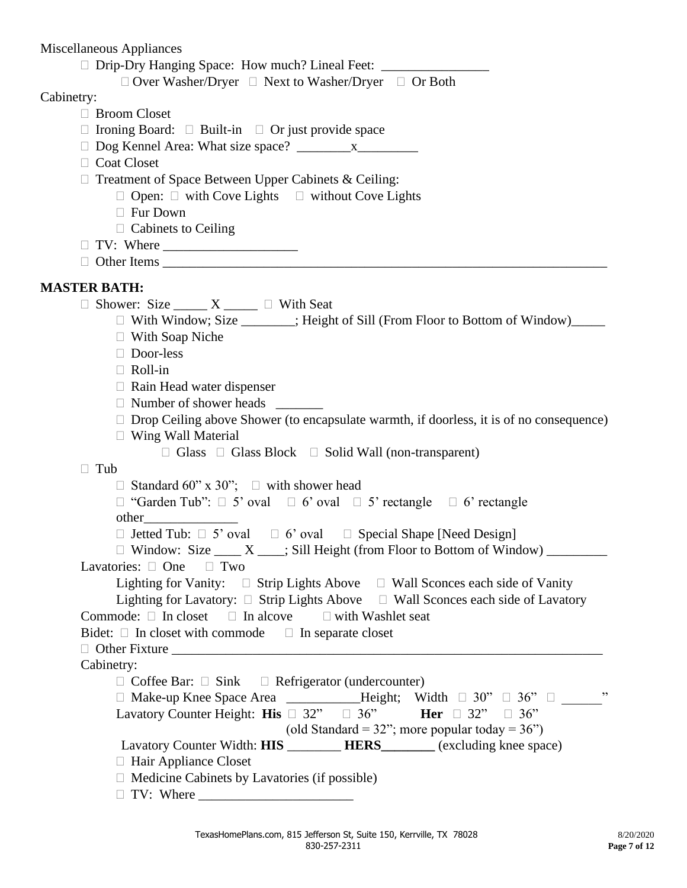Miscellaneous Appliances

|  |  |  |  | $\Box$ Drip-Dry Hanging Space: How much? Lineal Feet: |  |
|--|--|--|--|-------------------------------------------------------|--|
|--|--|--|--|-------------------------------------------------------|--|

 $\Box$  Over Washer/Dryer  $\Box$  Next to Washer/Dryer  $\Box$  Or Both

### Cabinetry:

- □ Broom Closet
- $\Box$  Ironing Board:  $\Box$  Built-in  $\Box$  Or just provide space
- $\Box$  Dog Kennel Area: What size space?  $\Box$  x
- □ Coat Closet
- $\Box$  Treatment of Space Between Upper Cabinets & Ceiling:
	- $\Box$  Open:  $\Box$  with Cove Lights  $\Box$  without Cove Lights
		- □ Fur Down
	- $\Box$  Cabinets to Ceiling
- TV: Where \_\_\_\_\_\_\_\_\_\_\_\_\_\_\_\_\_\_\_\_
- $\Box$  Other Items  $\Box$

# **MASTER BATH:**

 $\Box$  Shower: Size \_\_\_\_\_ X \_\_\_\_\_  $\Box$  With Seat

- $\Box$  With Window; Size  $\Box$ ; Height of Sill (From Floor to Bottom of Window)
- With Soap Niche
- Door-less
- Roll-in
- $\Box$  Rain Head water dispenser
- Number of shower heads \_\_\_\_\_\_\_
- $\Box$  Drop Ceiling above Shower (to encapsulate warmth, if doorless, it is of no consequence)
- $\Box$  Wing Wall Material
	- $\Box$  Glass  $\Box$  Glass Block  $\Box$  Solid Wall (non-transparent)

### $\Box$  Tub

 $\Box$  Standard 60" x 30";  $\Box$  with shower head

- $\Box$  "Garden Tub":  $\Box$  5' oval  $\Box$  6' oval  $\Box$  5' rectangle  $\Box$  6' rectangle
- $\Box$  Jetted Tub:  $\Box$  5' oval  $\Box$  6' oval  $\Box$  Special Shape [Need Design]
- $\Box$  Window: Size \_\_\_\_ X \_\_\_\_; Sill Height (from Floor to Bottom of Window) \_\_\_\_\_\_\_\_\_

Lavatories:  $\Box$  One  $\Box$  Two

other\_\_\_\_\_\_\_\_\_\_\_\_\_\_

| Lighting for Vanity: $\Box$ Strip Lights Above   | $\Box$ Wall Sconces each side of Vanity   |
|--------------------------------------------------|-------------------------------------------|
| Lighting for Lavatory: $\Box$ Strip Lights Above | $\Box$ Wall Sconces each side of Lavatory |

- Commode:  $\Box$  In closet  $\Box$  In alcove  $\Box$  with Washlet seat
- Bidet:  $\Box$  In closet with commode  $\Box$  In separate closet

# $\Box$  Other Fixture

| Cabinetry: |
|------------|
|------------|

| $\Box$ Coffee Bar: $\Box$ Sink $\Box$ Refrigerator (undercounter)                      |      |
|----------------------------------------------------------------------------------------|------|
| $\Box$ Make-up Knee Space Area _____________Height; Width $\Box$ 30" $\Box$ 36" $\Box$ | , 22 |
| Her $\Box$ 32" $\Box$ 36"<br>Lavatory Counter Height: <b>His</b> $\Box$ 32" $\Box$ 36" |      |
| (old Standard = 32"; more popular today = $36"$ )                                      |      |
| Lavatory Counter Width: <b>HIS</b> HERS<br>(excluding knee space)                      |      |
| $\Box$ Hair Appliance Closet                                                           |      |

- $\Box$  Medicine Cabinets by Lavatories (if possible)
- $\Box$  TV: Where  $\_\_$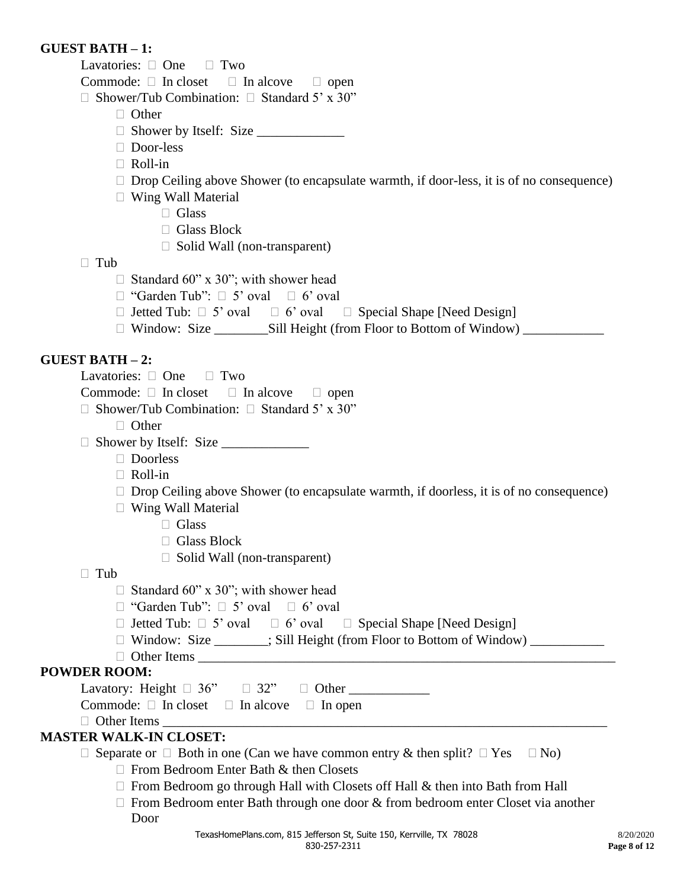### **GUEST BATH – 1:**

Lavatories:  $\Box$  One  $\Box$  Two

Commode:  $\Box$  In closet  $\Box$  In alcove  $\Box$  open

 $\Box$  Shower/Tub Combination:  $\Box$  Standard 5' x 30"

- □ Other
- $\Box$  Shower by Itself: Size
- Door-less
- $\Box$  Roll-in
- $\Box$  Drop Ceiling above Shower (to encapsulate warmth, if door-less, it is of no consequence)
- Wing Wall Material
	- □ Glass
	- Glass Block
	- $\Box$  Solid Wall (non-transparent)

### $\Box$  Tub

- $\Box$  Standard 60" x 30"; with shower head
- $\Box$  "Garden Tub":  $\Box$  5' oval  $\Box$  6' oval
- $\Box$  Jetted Tub:  $\Box$  5' oval  $\Box$  6' oval  $\Box$  Special Shape [Need Design]
- □ Window: Size \_\_\_\_\_\_\_\_\_\_\_Sill Height (from Floor to Bottom of Window) \_\_\_\_\_\_\_\_\_\_\_\_\_\_\_

### **GUEST BATH – 2:**

Lavatories:  $\Box$  One  $\Box$  Two

Commode:  $\Box$  In closet  $\Box$  In alcove  $\Box$  open

- $\Box$  Shower/Tub Combination:  $\Box$  Standard 5' x 30"
	- □ Other
- Shower by Itself: Size \_\_\_\_\_\_\_\_\_\_\_\_\_
	- □ Doorless
	- Roll-in
	- $\Box$  Drop Ceiling above Shower (to encapsulate warmth, if doorless, it is of no consequence)
	- Wing Wall Material
		- $\Box$  Glass
		- □ Glass Block
		- $\Box$  Solid Wall (non-transparent)

### $\Box$  Tub

- $\Box$  Standard 60" x 30"; with shower head
- $\Box$  "Garden Tub":  $\Box$  5' oval  $\Box$  6' oval
- $\Box$  Jetted Tub:  $\Box$  5' oval  $\Box$  6' oval  $\Box$  Special Shape [Need Design]
- $\Box$  Window: Size \_\_\_\_\_\_; Sill Height (from Floor to Bottom of Window) \_\_\_\_\_\_\_\_\_\_
- $\Box$  Other Items

# **POWDER ROOM:**

Lavatory: Height  $\Box$  36"  $\Box$  32"  $\Box$  Other Commode:  $\Box$  In closet  $\Box$  In alcove  $\Box$  In open

 $\Box$  Other Items

# **MASTER WALK-IN CLOSET:**

 $\Box$  Separate or  $\Box$  Both in one (Can we have common entry & then split?  $\Box$  Yes  $\Box$  No)

- $\Box$  From Bedroom Enter Bath & then Closets
- $\Box$  From Bedroom go through Hall with Closets off Hall & then into Bath from Hall
- $\Box$  From Bedroom enter Bath through one door  $\&$  from bedroom enter Closet via another Door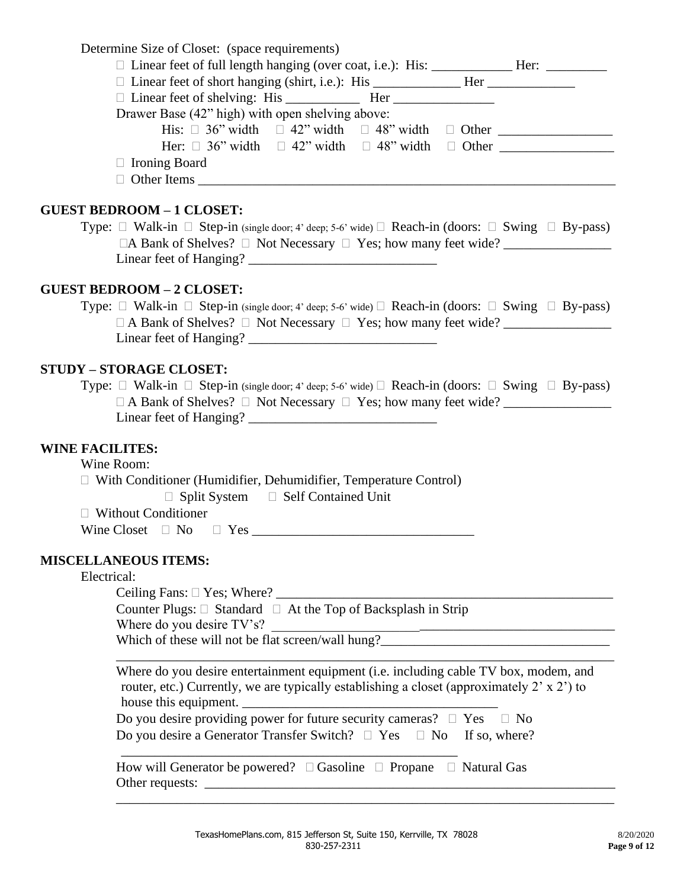| Determine Size of Closet: (space requirements) |  |  |  |  |
|------------------------------------------------|--|--|--|--|
|                                                |  |  |  |  |

| $\Box$ Linear feet of short hanging (shirt, i.e.): His Her           |  |  |
|----------------------------------------------------------------------|--|--|
|                                                                      |  |  |
| Drawer Base (42" high) with open shelving above:                     |  |  |
| His: $\Box$ 36" width $\Box$ 42" width $\Box$ 48" width $\Box$ Other |  |  |
| Her: $\Box$ 36" width $\Box$ 42" width $\Box$ 48" width $\Box$ Other |  |  |
| $\Box$ Ironing Board                                                 |  |  |
| $\Box$ Other Items $\Box$                                            |  |  |

### **GUEST BEDROOM – 1 CLOSET:**

| Type: $\Box$ Walk-in $\Box$ Step-in (single door; 4' deep; 5-6' wide) $\Box$ Reach-in (doors: $\Box$ Swing $\Box$ By-pass) |  |
|----------------------------------------------------------------------------------------------------------------------------|--|
| $\Box A$ Bank of Shelves? $\Box$ Not Necessary $\Box$ Yes; how many feet wide?                                             |  |
| Linear feet of Hanging? $\overline{\phantom{a}}$                                                                           |  |

### **GUEST BEDROOM – 2 CLOSET:**

Type:  $\Box$  Walk-in  $\Box$  Step-in (single door; 4' deep; 5-6' wide)  $\Box$  Reach-in (doors:  $\Box$  Swing  $\Box$  By-pass) A Bank of Shelves? Not Necessary Yes; how many feet wide? \_\_\_\_\_\_\_\_\_\_\_\_\_\_\_\_ Linear feet of Hanging? \_\_\_\_\_\_\_\_\_\_\_\_\_\_\_\_\_\_\_\_\_\_\_\_\_\_\_\_

### **STUDY – STORAGE CLOSET:**

Type:  $\Box$  Walk-in  $\Box$  Step-in (single door; 4' deep; 5-6' wide)  $\Box$  Reach-in (doors:  $\Box$  Swing  $\Box$  By-pass)  $\Box$  A Bank of Shelves?  $\Box$  Not Necessary  $\Box$  Yes; how many feet wide? Linear feet of Hanging? \_\_\_\_\_\_\_\_\_\_\_\_\_\_\_\_\_\_\_\_\_\_\_\_\_\_\_\_

### **WINE FACILITES:**

Wine Room:

With Conditioner (Humidifier, Dehumidifier, Temperature Control)

 $\Box$  Split System  $\Box$  Self Contained Unit

□ Without Conditioner

Wine Closet No Yes \_\_\_\_\_\_\_\_\_\_\_\_\_\_\_\_\_\_\_\_\_\_\_\_\_\_\_\_\_\_\_\_\_

### **MISCELLANEOUS ITEMS:**

### Electrical:

Ceiling Fans: Yes; Where? \_\_\_\_\_\_\_\_\_\_\_\_\_\_\_\_\_\_\_\_\_\_\_\_\_\_\_\_\_\_\_\_\_\_\_\_\_\_\_\_\_\_\_\_\_\_\_\_\_\_

Counter Plugs:  $\Box$  Standard  $\Box$  At the Top of Backsplash in Strip Where do you desire TV's?

\_\_\_\_\_\_\_\_\_\_\_\_\_\_\_\_\_\_\_\_\_\_\_\_\_\_\_\_\_\_\_\_\_\_\_\_\_\_\_\_\_\_\_\_\_\_\_\_\_\_

Which of these will not be flat screen/wall hung?\_\_\_\_\_\_\_\_\_\_\_\_\_\_\_\_\_\_\_\_\_\_\_\_\_\_\_\_\_\_\_\_\_\_

| Where do you desire entertainment equipment ( <i>i.e.</i> including cable TV box, modem, and |
|----------------------------------------------------------------------------------------------|
| router, etc.) Currently, we are typically establishing a closet (approximately 2' x 2') to   |
| house this equipment.                                                                        |
| Do you desire providing power for future security cameras? $\Box$ Yes<br>$\Box$ No           |

\_\_\_\_\_\_\_\_\_\_\_\_\_\_\_\_\_\_\_\_\_\_\_\_\_\_\_\_\_\_\_\_\_\_\_\_\_\_\_\_\_\_\_\_\_\_\_\_\_\_\_\_\_\_\_\_\_\_\_\_\_\_\_\_\_\_\_\_\_\_\_\_\_\_

|  |  |  | Do you desire a Generator Transfer Switch? $\Box$ Yes $\Box$ No If so, where? |
|--|--|--|-------------------------------------------------------------------------------|
|  |  |  |                                                                               |

How will Generator be powered?  $\Box$  Gasoline  $\Box$  Propane  $\Box$  Natural Gas Other requests: \_\_\_\_\_\_\_\_\_\_\_\_\_\_\_\_\_\_\_\_\_\_\_\_\_\_\_\_\_\_\_\_\_\_\_\_\_\_\_\_\_\_\_\_\_\_\_\_\_\_\_\_\_\_\_\_\_\_\_\_\_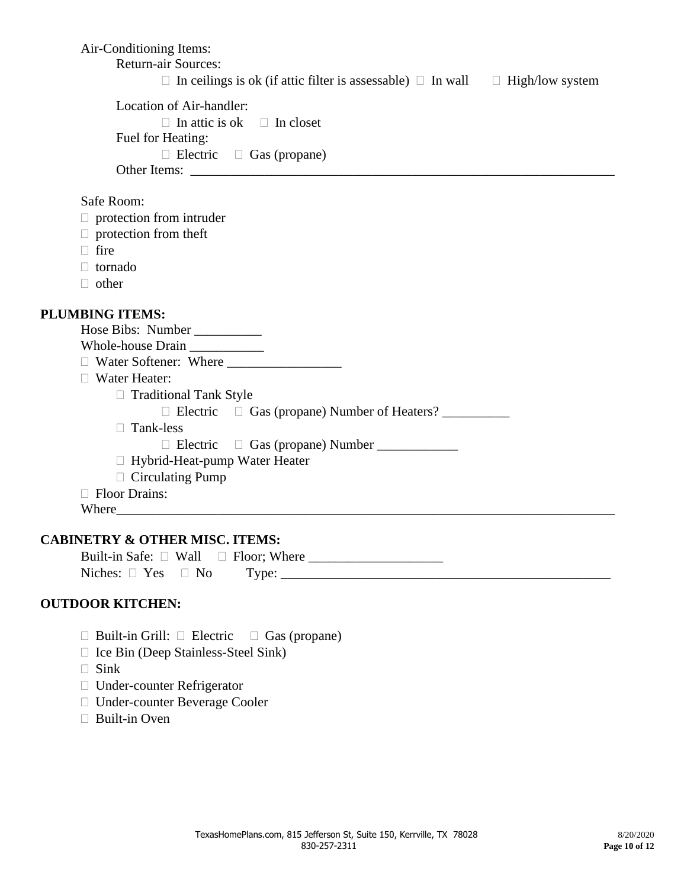Air-Conditioning Items: Return-air Sources:  $\Box$  In ceilings is ok (if attic filter is assessable)  $\Box$  In wall  $\Box$  High/low system Location of Air-handler:  $\Box$  In attic is ok  $\Box$  In closet Fuel for Heating:  $\Box$  Electric  $\Box$  Gas (propane) Other Items: \_\_\_\_\_\_\_\_\_\_\_\_\_\_\_\_\_\_\_\_\_\_\_\_\_\_\_\_\_\_\_\_\_\_\_\_\_\_\_\_\_\_\_\_\_\_\_\_\_\_\_\_\_\_\_\_\_\_\_\_\_\_\_ Safe Room:  $\Box$  protection from intruder  $\Box$  protection from theft  $\Box$  fire tornado  $\Box$  other **PLUMBING ITEMS:** Hose Bibs: Number Whole-house Drain \_\_\_\_\_\_\_\_\_\_\_ Water Softener: Where \_\_\_\_\_\_\_\_\_\_\_\_\_\_\_\_\_ Water Heater:  $\Box$  Traditional Tank Style Electric Gas (propane) Number of Heaters? \_\_\_\_\_\_\_\_\_\_ □ Tank-less  $\Box$  Electric  $\Box$  Gas (propane) Number □ Hybrid-Heat-pump Water Heater  $\Box$  Circulating Pump □ Floor Drains: Where\_\_\_\_\_\_\_\_\_\_\_\_\_\_\_\_\_\_\_\_\_\_\_\_\_\_\_\_\_\_\_\_\_\_\_\_\_\_\_\_\_\_\_\_\_\_\_\_\_\_\_\_\_\_\_\_\_\_\_\_\_\_\_\_\_\_\_\_\_\_\_\_\_\_ **CABINETRY & OTHER MISC. ITEMS:**

Built-in Safe:  $\Box$  Wall  $\Box$  Floor; Where  $Niches: \Box Yes \Box No \qquad Type: \_$ 

### **OUTDOOR KITCHEN:**

- $\Box$  Built-in Grill:  $\Box$  Electric  $\Box$  Gas (propane)
- $\Box$  Ice Bin (Deep Stainless-Steel Sink)
- $\Box$  Sink
- Under-counter Refrigerator
- Under-counter Beverage Cooler
- □ Built-in Oven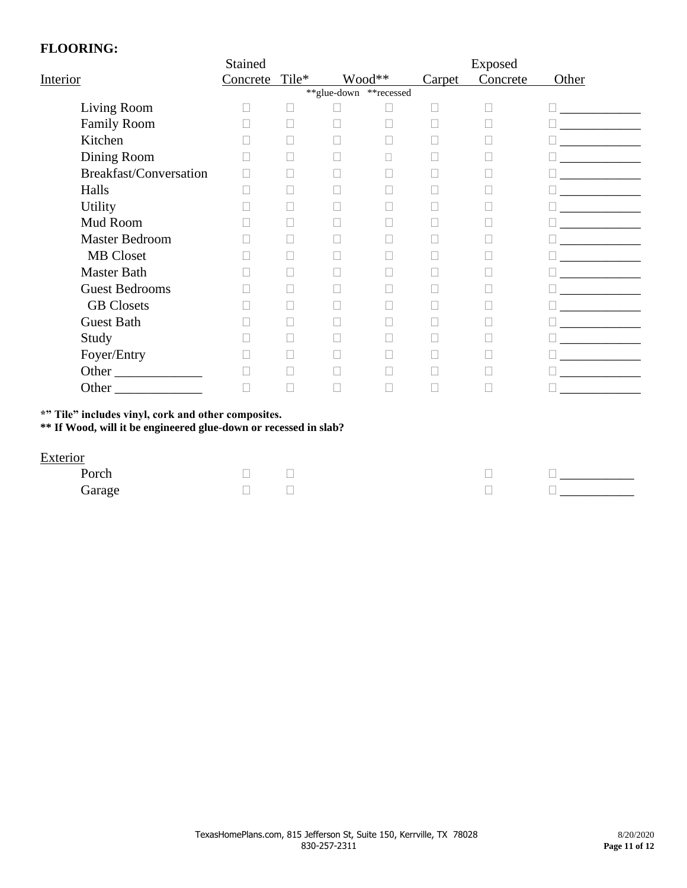### **FLOORING:**

|                        | Stained  |       |                        |        |        | Exposed  |       |
|------------------------|----------|-------|------------------------|--------|--------|----------|-------|
| Interior               | Concrete | Tile* |                        | Wood** | Carpet | Concrete | Other |
|                        |          |       | **glue-down **recessed |        |        |          |       |
| Living Room            |          |       |                        |        | П      | Г        |       |
| <b>Family Room</b>     |          |       |                        |        |        |          |       |
| Kitchen                |          |       |                        |        |        |          |       |
| Dining Room            | П        | П     |                        | П      |        |          |       |
| Breakfast/Conversation | П        |       |                        |        |        |          |       |
| Halls                  |          |       |                        |        |        |          |       |
| <b>Utility</b>         |          |       |                        |        |        |          |       |
| Mud Room               |          |       |                        |        |        |          |       |
| <b>Master Bedroom</b>  |          |       |                        |        |        |          |       |
| <b>MB</b> Closet       |          |       |                        |        |        |          |       |
| <b>Master Bath</b>     |          |       |                        |        |        |          |       |
| <b>Guest Bedrooms</b>  |          |       |                        |        |        |          |       |
| <b>GB</b> Closets      |          |       |                        |        |        |          |       |
| <b>Guest Bath</b>      |          |       |                        |        |        |          |       |
| Study                  | П        |       |                        |        |        |          |       |
| Foyer/Entry            |          |       |                        |        |        |          |       |
| Other                  |          |       |                        |        |        |          |       |
| <b>Other</b>           | П        |       |                        |        |        |          |       |

**\*" Tile" includes vinyl, cork and other composites.**

**\*\* If Wood, will it be engineered glue-down or recessed in slab?**

### **Exterior**

| Porch  | $\overline{\phantom{a}}$ |  |  |
|--------|--------------------------|--|--|
| Garage | $\overline{\phantom{a}}$ |  |  |